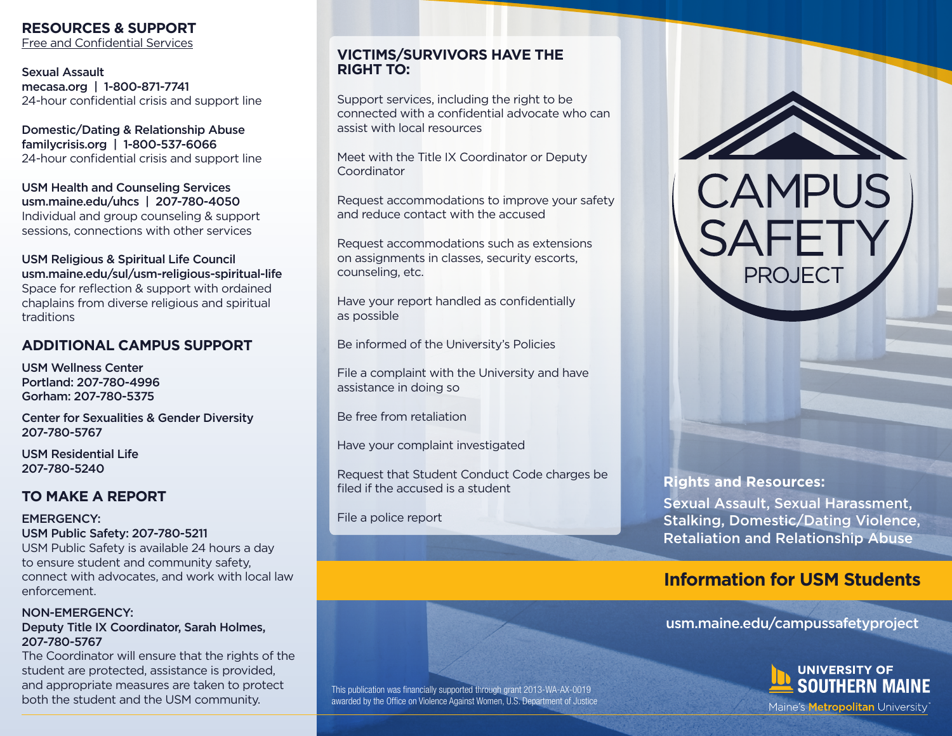## **RESOURCES & SUPPORT**

Free and Confidential Services

Sexual Assault mecasa.org | 1-800-871-7741 24-hour confidential crisis and support line

Domestic/Dating & Relationship Abuse familycrisis.org | 1-800-537-6066 24-hour confidential crisis and support line

USM Health and Counseling Services usm.maine.edu/uhcs | 207-780-4050 Individual and group counseling & support sessions, connections with other services

#### USM Religious & Spiritual Life Council usm.maine.edu/sul/usm-religious-spiritual-life Space for reflection & support with ordained chaplains from diverse religious and spiritual traditions

## **ADDITIONAL CAMPUS SUPPORT**

USM Wellness Center Portland: 207-780-4996 Gorham: 207-780-5375

Center for Sexualities & Gender Diversity 207-780-5767

USM Residential Life 207-780-5240

## **TO MAKE A REPORT**

EMERGENCY: USM Public Safety: 207-780-5211 USM Public Safety is available 24 hours a day to ensure student and community safety,

connect with advocates, and work with local law enforcement.

### NON-EMERGENCY:

### Deputy Title IX Coordinator, Sarah Holmes, 207-780-5767

The Coordinator will ensure that the rights of the student are protected, assistance is provided, and appropriate measures are taken to protect both the student and the USM community.

### **VICTIMS/SURVIVORS HAVE THE RIGHT TO:**

Support services, including the right to be connected with a confidential advocate who can assist with local resources

Meet with the Title IX Coordinator or Deputy Coordinator

Request accommodations to improve your safety and reduce contact with the accused

Request accommodations such as extensions on assignments in classes, security escorts, counseling, etc.

Have your report handled as confidentially as possible

Be informed of the University's Policies

File a complaint with the University and have assistance in doing so

Be free from retaliation

Have your complaint investigated

Request that Student Conduct Code charges be filed if the accused is a student

File a police report

This publication was financially supported through grant 2013-WA-AX-0019 awarded by the Office on Violence Against Women, U.S. Department of Justice



Sexual Assault, Sexual Harassment, Stalking, Domestic/Dating Violence, Retaliation and Relationship Abuse

**CAMPUS** 

PROJFC<sup>-</sup>

# **Information for USM Students**

usm.maine.edu/campussafetyproject